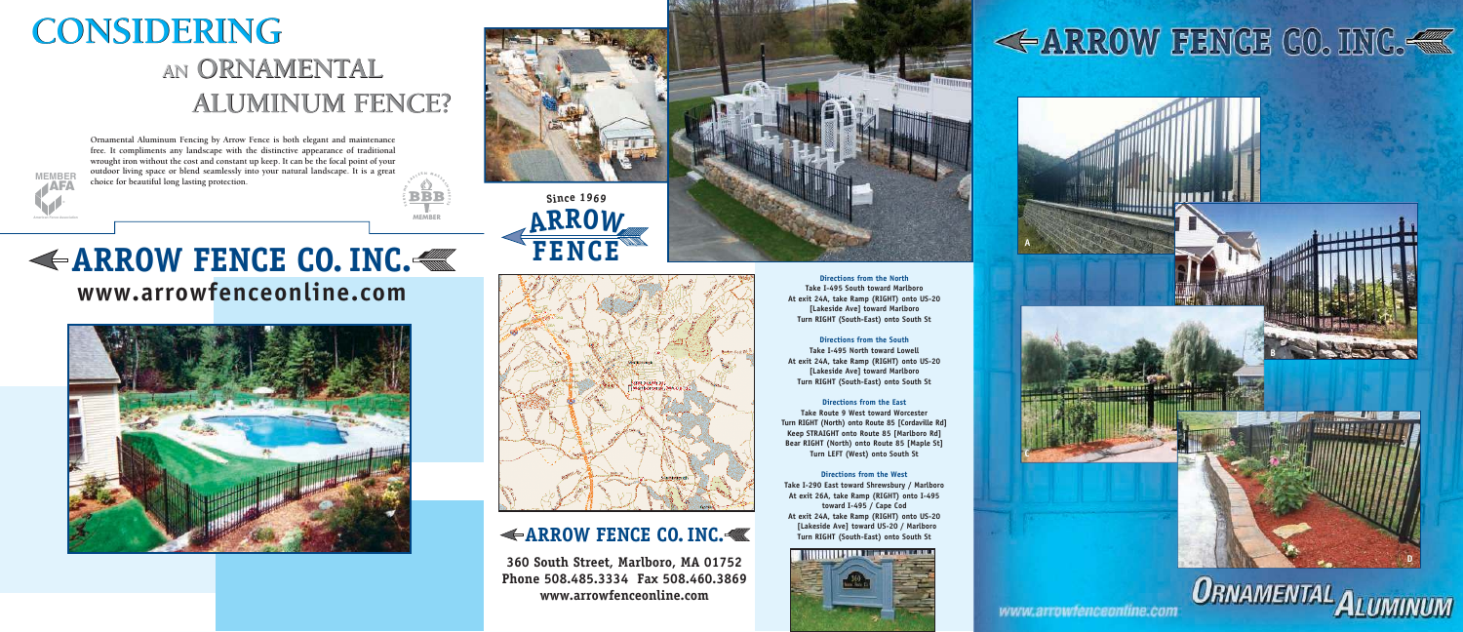**Ornamental Aluminum Fencing by Arrow Fence is both elegant and maintenance free. It compliments any landscape with the distinctive appearance of traditional wrought iron without the cost and constant up keep. It can be the focal point of your outdoor living space or blend seamlessly into your natural landscape. It is a great choice for beautiful long lasting protection.**

**BBBMEMBER S E K I N G**  $\phi$ <sub>*r*</sub> **E<sup>A</sup> <sup>S</sup> <sup>S</sup> <sup>A</sup> <sup>C</sup> H**  $\epsilon$ **S T**  $\mathcal{L}_{2}$ 

## **AN ORNAMENTAL AN ORNAMENTAL ALUMINUM FENCE? ALUMINUM FENCE? CONSIDERING CONSIDERING**

### **ARROW FENCE CO. INC. www.arrowfenceonline.com**







**RNM**

### **ARROW FENCE CO. INC.**

**360 South Street, Marlboro, MA 01752 Phone 508.485.3334 Fax 508.460.3869 www.arrowfenceonline.com**



**Directions from the North Take I-495 South toward Marlboro At exit 24A, take Ramp (RIGHT) onto US-20 [Lakeside Ave] toward Marlboro Turn RIGHT (South-East) onto South St** 

**Directions from the South Take I-495 North toward Lowell At exit 24A, take Ramp (RIGHT) onto US-20 [Lakeside Ave] toward Marlboro Turn RIGHT (South-East) onto South St** 

**Directions from the East Take Route 9 West toward Worcester Turn RIGHT (North) onto Route 85 [Cordaville Rd] Keep STRAIGHT onto Route 85 [Marlboro Rd] Bear RIGHT (North) onto Route 85 [Maple St] Turn LEFT (West) onto South St** 

**Directions from the West Take I-290 East toward Shrewsbury / Marlboro At exit 26A, take Ramp (RIGHT) onto I-495 toward I-495 / Cape Cod At exit 24A, take Ramp (RIGHT) onto US-20 [Lakeside Ave] toward US-20 / Marlboro Turn RIGHT (South-East) onto South St**



# **<ARROW FENCE CO. INC.<**







www.arrowtenceonline.com